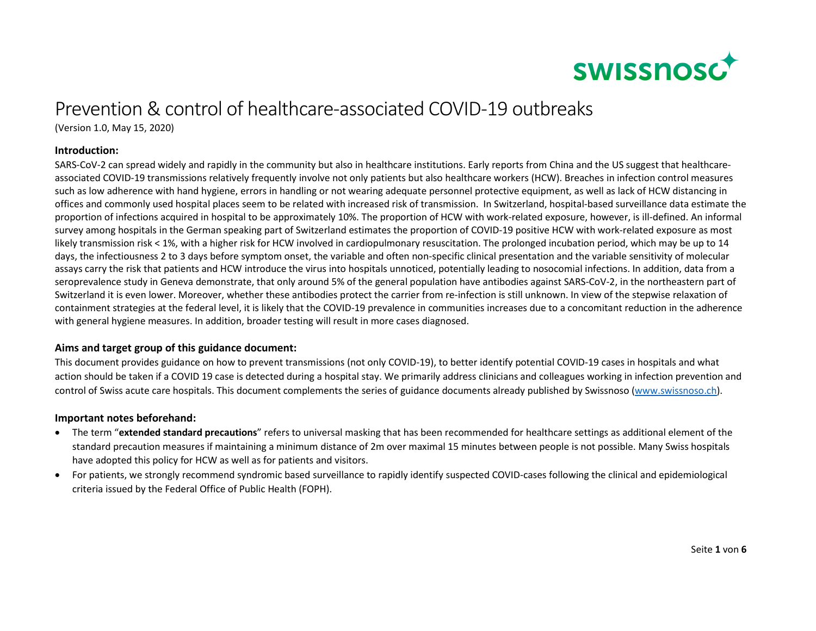

# Prevention & control of healthcare-associated COVID-19 outbreaks

(Version 1.0, May 15, 2020)

### **Introduction:**

SARS-CoV-2 can spread widely and rapidly in the community but also in healthcare institutions. Early reports from China and the US suggest that healthcareassociated COVID-19 transmissions relatively frequently involve not only patients but also healthcare workers (HCW). Breaches in infection control measures such as low adherence with hand hygiene, errors in handling or not wearing adequate personnel protective equipment, as well as lack of HCW distancing in offices and commonly used hospital places seem to be related with increased risk of transmission. In Switzerland, hospital-based surveillance data estimate the proportion of infections acquired in hospital to be approximately 10%. The proportion of HCW with work-related exposure, however, is ill-defined. An informal survey among hospitals in the German speaking part of Switzerland estimates the proportion of COVID-19 positive HCW with work-related exposure as most likely transmission risk < 1%, with a higher risk for HCW involved in cardiopulmonary resuscitation. The prolonged incubation period, which may be up to 14 days, the infectiousness 2 to 3 days before symptom onset, the variable and often non-specific clinical presentation and the variable sensitivity of molecular assays carry the risk that patients and HCW introduce the virus into hospitals unnoticed, potentially leading to nosocomial infections. In addition, data from a seroprevalence study in Geneva demonstrate, that only around 5% of the general population have antibodies against SARS-CoV-2, in the northeastern part ofSwitzerland it is even lower. Moreover, whether these antibodies protect the carrier from re-infection is still unknown. In view of the stepwise relaxation of containment strategies at the federal level, it is likely that the COVID-19 prevalence in communities increases due to a concomitant reduction in the adherence with general hygiene measures. In addition, broader testing will result in more cases diagnosed.

# **Aims and target group of this guidance document:**

This document provides guidance on how to prevent transmissions (not only COVID-19), to better identify potential COVID-19 cases in hospitals and what action should be taken if a COVID 19 case is detected during a hospital stay. We primarily address clinicians and colleagues working in infection prevention and control of Swiss acute care hospitals. This document complements the series of guidance documents already published by Swissnoso (www.swissnoso.ch).

#### **Important notes beforehand:**

- The term "**extended standard precautions**" refers to universal masking that has been recommended for healthcare settings as additional element of the standard precaution measures if maintaining a minimum distance of 2m over maximal 15 minutes between people is not possible. Many Swiss hospitals have adopted this policy for HCW as well as for patients and visitors.
- For patients, we strongly recommend syndromic based surveillance to rapidly identify suspected COVID-cases following the clinical and epidemiological criteria issued by the Federal Office of Public Health (FOPH).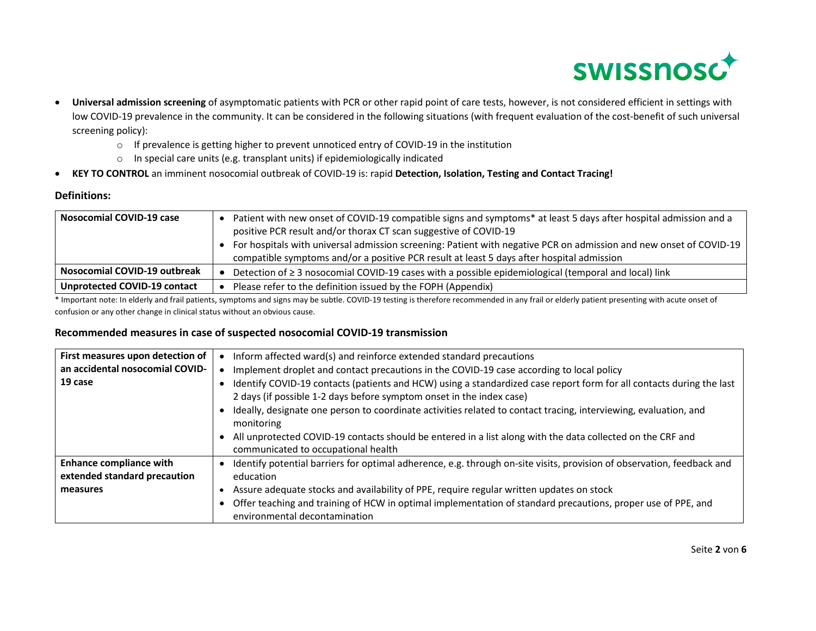

- $\bullet$  **Universal admission screening** of asymptomatic patients with PCR or other rapid point of care tests, however, is not considered efficient in settings with low COVID-19 prevalence in the community. It can be considered in the following situations (with frequent evaluation of the cost-benefit of such universal screening policy):
	- $\circ$  If prevalence is getting higher to prevent unnoticed entry of COVID-19 in the institution
	- $\circ$  In special care units (e.g. transplant units) if epidemiologically indicated
- **KEY TO CONTROL** an imminent nosocomial outbreak of COVID-19 is: rapid **Detection, Isolation, Testing and Contact Tracing!**

# **Definitions:**

| <b>Nosocomial COVID-19 case</b> | Patient with new onset of COVID-19 compatible signs and symptoms* at least 5 days after hospital admission and a<br>positive PCR result and/or thorax CT scan suggestive of COVID-19<br>For hospitals with universal admission screening: Patient with negative PCR on admission and new onset of COVID-19<br>compatible symptoms and/or a positive PCR result at least 5 days after hospital admission |
|---------------------------------|---------------------------------------------------------------------------------------------------------------------------------------------------------------------------------------------------------------------------------------------------------------------------------------------------------------------------------------------------------------------------------------------------------|
| Nosocomial COVID-19 outbreak    | Detection of ≥ 3 nosocomial COVID-19 cases with a possible epidemiological (temporal and local) link                                                                                                                                                                                                                                                                                                    |
| Unprotected COVID-19 contact    | Please refer to the definition issued by the FOPH (Appendix)                                                                                                                                                                                                                                                                                                                                            |

\* Important note: In elderly and frail patients, symptoms and signs may be subtle. COVID-19 testing is therefore recommended in any frail or elderly patient presenting with acute onset of confusion or any other change in clinical status without an obvious cause.

# **Recommended measures in case of suspected nosocomial COVID-19 transmission**

| First measures upon detection of | Inform affected ward(s) and reinforce extended standard precautions                                                                               |
|----------------------------------|---------------------------------------------------------------------------------------------------------------------------------------------------|
| an accidental nosocomial COVID-  | Implement droplet and contact precautions in the COVID-19 case according to local policy                                                          |
| 19 case                          | Identify COVID-19 contacts (patients and HCW) using a standardized case report form for all contacts during the last                              |
|                                  | 2 days (if possible 1-2 days before symptom onset in the index case)                                                                              |
|                                  | Ideally, designate one person to coordinate activities related to contact tracing, interviewing, evaluation, and<br>monitoring                    |
|                                  | All unprotected COVID-19 contacts should be entered in a list along with the data collected on the CRF and<br>communicated to occupational health |
| <b>Enhance compliance with</b>   | Identify potential barriers for optimal adherence, e.g. through on-site visits, provision of observation, feedback and                            |
| extended standard precaution     | education                                                                                                                                         |
| measures                         | Assure adequate stocks and availability of PPE, require regular written updates on stock                                                          |
|                                  | Offer teaching and training of HCW in optimal implementation of standard precautions, proper use of PPE, and                                      |
|                                  | environmental decontamination                                                                                                                     |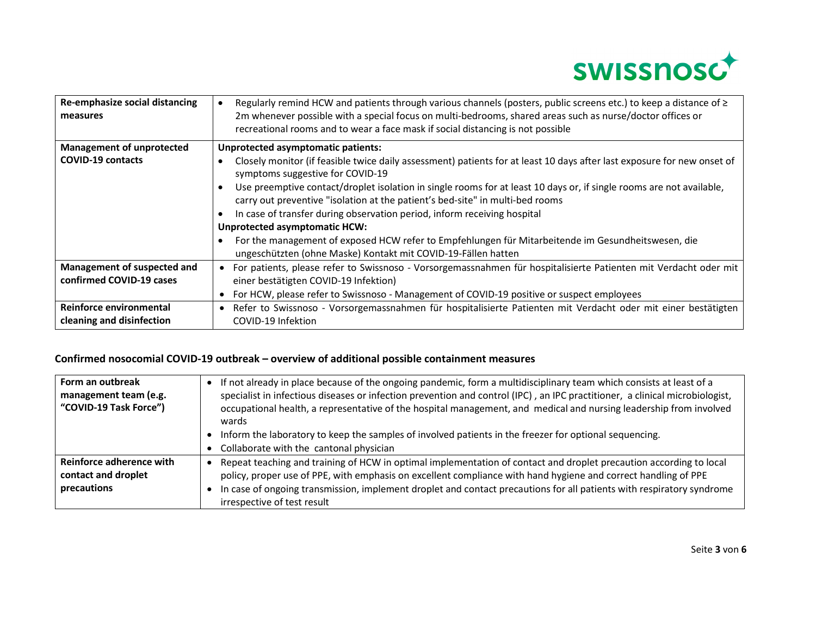

| Re-emphasize social distancing<br>measures           | Regularly remind HCW and patients through various channels (posters, public screens etc.) to keep a distance of ≥<br>2m whenever possible with a special focus on multi-bedrooms, shared areas such as nurse/doctor offices or<br>recreational rooms and to wear a face mask if social distancing is not possible |  |  |
|------------------------------------------------------|-------------------------------------------------------------------------------------------------------------------------------------------------------------------------------------------------------------------------------------------------------------------------------------------------------------------|--|--|
| <b>Management of unprotected</b>                     | Unprotected asymptomatic patients:                                                                                                                                                                                                                                                                                |  |  |
| <b>COVID-19 contacts</b>                             | Closely monitor (if feasible twice daily assessment) patients for at least 10 days after last exposure for new onset of<br>symptoms suggestive for COVID-19                                                                                                                                                       |  |  |
|                                                      | Use preemptive contact/droplet isolation in single rooms for at least 10 days or, if single rooms are not available,<br>carry out preventive "isolation at the patient's bed-site" in multi-bed rooms                                                                                                             |  |  |
|                                                      | In case of transfer during observation period, inform receiving hospital                                                                                                                                                                                                                                          |  |  |
|                                                      | <b>Unprotected asymptomatic HCW:</b>                                                                                                                                                                                                                                                                              |  |  |
|                                                      | For the management of exposed HCW refer to Empfehlungen für Mitarbeitende im Gesundheitswesen, die<br>ungeschützten (ohne Maske) Kontakt mit COVID-19-Fällen hatten                                                                                                                                               |  |  |
| Management of suspected and                          | For patients, please refer to Swissnoso - Vorsorgemassnahmen für hospitalisierte Patienten mit Verdacht oder mit                                                                                                                                                                                                  |  |  |
| confirmed COVID-19 cases                             | einer bestätigten COVID-19 Infektion)                                                                                                                                                                                                                                                                             |  |  |
|                                                      | For HCW, please refer to Swissnoso - Management of COVID-19 positive or suspect employees                                                                                                                                                                                                                         |  |  |
| Reinforce environmental<br>cleaning and disinfection | Refer to Swissnoso - Vorsorgemassnahmen für hospitalisierte Patienten mit Verdacht oder mit einer bestätigten<br>COVID-19 Infektion                                                                                                                                                                               |  |  |

# **Confirmed nosocomial COVID-19 outbreak – overview of additional possible containment measures**

| Form an outbreak<br>management team (e.g.<br>"COVID-19 Task Force") | • If not already in place because of the ongoing pandemic, form a multidisciplinary team which consists at least of a<br>specialist in infectious diseases or infection prevention and control (IPC), an IPC practitioner, a clinical microbiologist,<br>occupational health, a representative of the hospital management, and medical and nursing leadership from involved<br>wards<br>• Inform the laboratory to keep the samples of involved patients in the freezer for optional sequencing.<br>Collaborate with the cantonal physician |
|---------------------------------------------------------------------|---------------------------------------------------------------------------------------------------------------------------------------------------------------------------------------------------------------------------------------------------------------------------------------------------------------------------------------------------------------------------------------------------------------------------------------------------------------------------------------------------------------------------------------------|
| Reinforce adherence with<br>contact and droplet<br>precautions      | Repeat teaching and training of HCW in optimal implementation of contact and droplet precaution according to local<br>policy, proper use of PPE, with emphasis on excellent compliance with hand hygiene and correct handling of PPE<br>In case of ongoing transmission, implement droplet and contact precautions for all patients with respiratory syndrome<br>irrespective of test result                                                                                                                                                |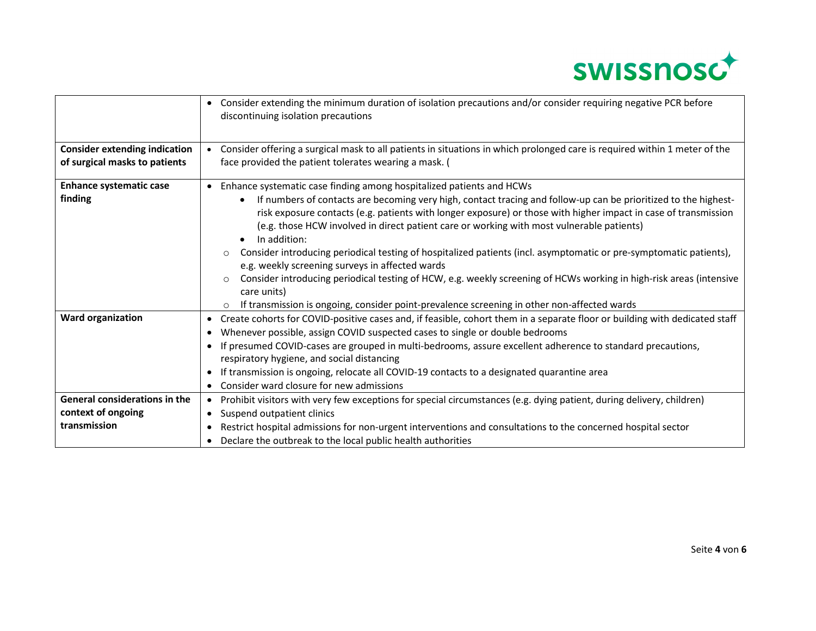

|                                      | Consider extending the minimum duration of isolation precautions and/or consider requiring negative PCR before<br>discontinuing isolation precautions                                                                                                                                                                                                        |
|--------------------------------------|--------------------------------------------------------------------------------------------------------------------------------------------------------------------------------------------------------------------------------------------------------------------------------------------------------------------------------------------------------------|
| <b>Consider extending indication</b> | • Consider offering a surgical mask to all patients in situations in which prolonged care is required within 1 meter of the                                                                                                                                                                                                                                  |
| of surgical masks to patients        | face provided the patient tolerates wearing a mask. (                                                                                                                                                                                                                                                                                                        |
| <b>Enhance systematic case</b>       | Enhance systematic case finding among hospitalized patients and HCWs                                                                                                                                                                                                                                                                                         |
| finding                              | If numbers of contacts are becoming very high, contact tracing and follow-up can be prioritized to the highest-<br>$\bullet$<br>risk exposure contacts (e.g. patients with longer exposure) or those with higher impact in case of transmission<br>(e.g. those HCW involved in direct patient care or working with most vulnerable patients)<br>In addition: |
|                                      | Consider introducing periodical testing of hospitalized patients (incl. asymptomatic or pre-symptomatic patients),<br>$\circ$<br>e.g. weekly screening surveys in affected wards                                                                                                                                                                             |
|                                      | Consider introducing periodical testing of HCW, e.g. weekly screening of HCWs working in high-risk areas (intensive<br>$\circ$<br>care units)                                                                                                                                                                                                                |
|                                      | If transmission is ongoing, consider point-prevalence screening in other non-affected wards<br>$\circ$                                                                                                                                                                                                                                                       |
| <b>Ward organization</b>             | Create cohorts for COVID-positive cases and, if feasible, cohort them in a separate floor or building with dedicated staff<br>$\bullet$                                                                                                                                                                                                                      |
|                                      | Whenever possible, assign COVID suspected cases to single or double bedrooms                                                                                                                                                                                                                                                                                 |
|                                      | If presumed COVID-cases are grouped in multi-bedrooms, assure excellent adherence to standard precautions,                                                                                                                                                                                                                                                   |
|                                      | respiratory hygiene, and social distancing                                                                                                                                                                                                                                                                                                                   |
|                                      | If transmission is ongoing, relocate all COVID-19 contacts to a designated quarantine area<br>$\bullet$                                                                                                                                                                                                                                                      |
|                                      | Consider ward closure for new admissions                                                                                                                                                                                                                                                                                                                     |
| <b>General considerations in the</b> | Prohibit visitors with very few exceptions for special circumstances (e.g. dying patient, during delivery, children)<br>$\bullet$                                                                                                                                                                                                                            |
| context of ongoing                   | • Suspend outpatient clinics                                                                                                                                                                                                                                                                                                                                 |
| transmission                         | Restrict hospital admissions for non-urgent interventions and consultations to the concerned hospital sector                                                                                                                                                                                                                                                 |
|                                      | Declare the outbreak to the local public health authorities                                                                                                                                                                                                                                                                                                  |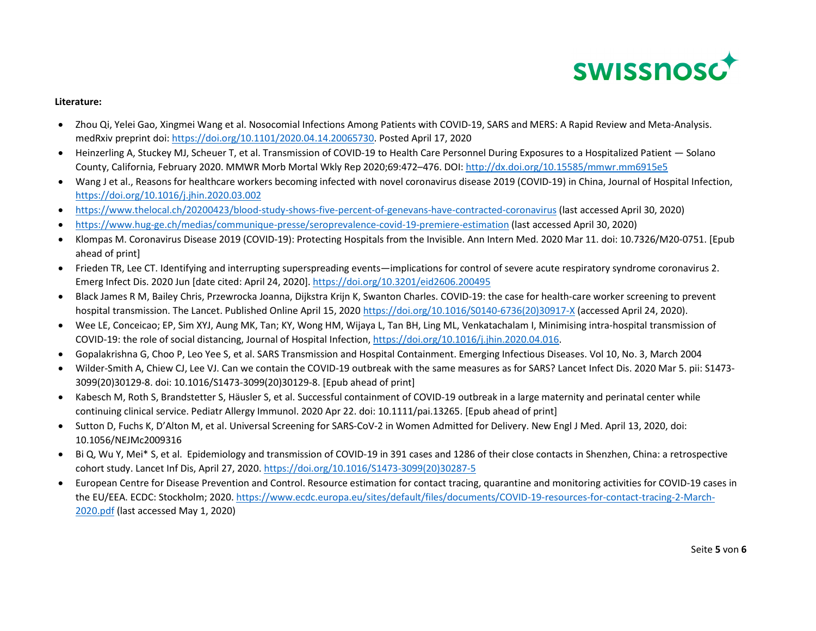

#### **Literature:**

- Zhou Qi, Yelei Gao, Xingmei Wang et al. Nosocomial Infections Among Patients with COVID-19, SARS and MERS: A Rapid Review and Meta-Analysis. medRxiv preprint doi: https://doi.org/10.1101/2020.04.14.20065730. Posted April 17, 2020
- Heinzerling A, Stuckey MJ, Scheuer T, et al. Transmission of COVID-19 to Health Care Personnel During Exposures to a Hospitalized Patient Solano County, California, February 2020. MMWR Morb Mortal Wkly Rep 2020;69:472–476. DOI: http://dx.doi.org/10.15585/mmwr.mm6915e5
- Wang J et al., Reasons for healthcare workers becoming infected with novel coronavirus disease 2019 (COVID-19) in China, Journal of Hospital Infection, https://doi.org/10.1016/j.jhin.2020.03.002
- https://www.thelocal.ch/20200423/blood-study-shows-five-percent-of-genevans-have-contracted-coronavirus (last accessed April 30, 2020)
- $\bullet$ https://www.hug-ge.ch/medias/communique-presse/seroprevalence-covid-19-premiere-estimation (last accessed April 30, 2020)
- Klompas M. Coronavirus Disease 2019 (COVID-19): Protecting Hospitals from the Invisible. Ann Intern Med. 2020 Mar 11. doi: 10.7326/M20-0751. [Epub ahead of print]
- Frieden TR, Lee CT. Identifying and interrupting superspreading events—implications for control of severe acute respiratory syndrome coronavirus 2. Emerg Infect Dis. 2020 Jun [date cited: April 24, 2020]. https://doi.org/10.3201/eid2606.200495
- Black James R M, Bailey Chris, Przewrocka Joanna, Dijkstra Krijn K, Swanton Charles. COVID-19: the case for health-care worker screening to prevent hospital transmission. The Lancet. Published Online April 15, 2020 https://doi.org/10.1016/S0140-6736(20)30917-X (accessed April 24, 2020).
- Wee LE, Conceicao; EP, Sim XYJ, Aung MK, Tan; KY, Wong HM, Wijaya L, Tan BH, Ling ML, Venkatachalam I, Minimising intra-hospital transmission of COVID-19: the role of social distancing, Journal of Hospital Infection, https://doi.org/10.1016/j.jhin.2020.04.016.
- Gopalakrishna G, Choo P, Leo Yee S, et al. SARS Transmission and Hospital Containment. Emerging Infectious Diseases. Vol 10, No. 3, March 2004
- Wilder-Smith A, Chiew CJ, Lee VJ. Can we contain the COVID-19 outbreak with the same measures as for SARS? Lancet Infect Dis. 2020 Mar 5. pii: S1473- 3099(20)30129-8. doi: 10.1016/S1473-3099(20)30129-8. [Epub ahead of print]
- Kabesch M, Roth S, Brandstetter S, Häusler S, et al. Successful containment of COVID-19 outbreak in a large maternity and perinatal center while continuing clinical service. Pediatr Allergy Immunol. 2020 Apr 22. doi: 10.1111/pai.13265. [Epub ahead of print]
- Sutton D, Fuchs K, D'Alton M, et al. Universal Screening for SARS-CoV-2 in Women Admitted for Delivery. New Engl J Med. April 13, 2020, doi: 10.1056/NEJMc2009316
- Bi Q, Wu Y, Mei\* S, et al. Epidemiology and transmission of COVID-19 in 391 cases and 1286 of their close contacts in Shenzhen, China: a retrospective cohort study. Lancet Inf Dis, April 27, 2020. https://doi.org/10.1016/S1473-3099(20)30287-5
- European Centre for Disease Prevention and Control. Resource estimation for contact tracing, quarantine and monitoring activities for COVID-19 cases in the EU/EEA. ECDC: Stockholm; 2020. https://www.ecdc.europa.eu/sites/default/files/documents/COVID-19-resources-for-contact-tracing-2-March-2020.pdf (last accessed May 1, 2020)